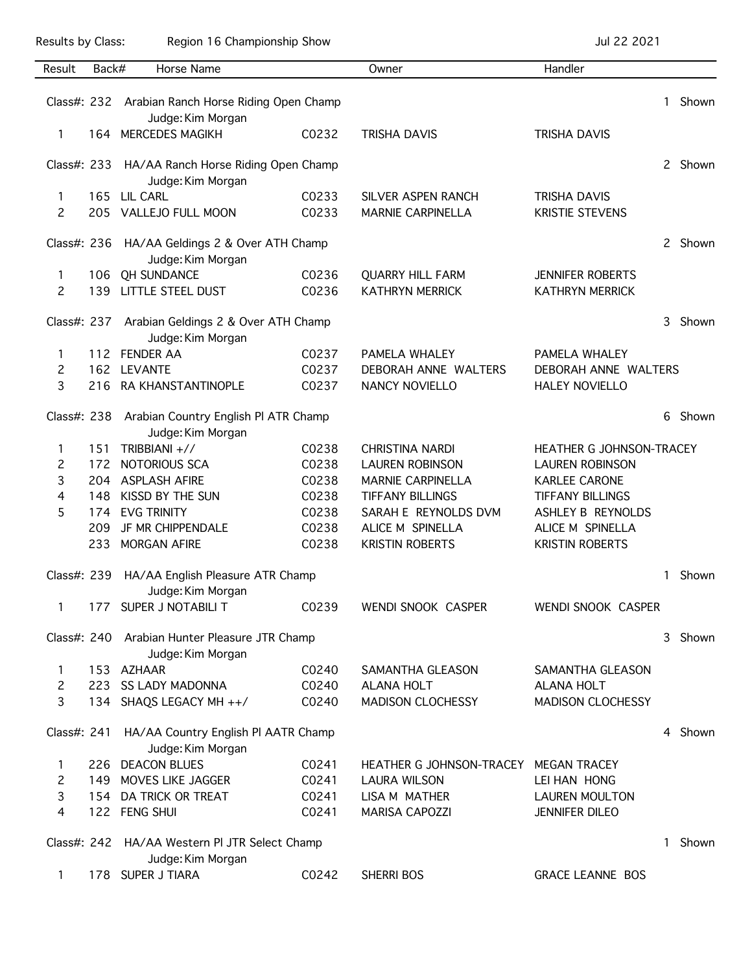Results by Class: Region 16 Championship Show Championship Show Jul 22 2021

| Result                         | Back#      | Horse Name                                       |                | Owner                                           | Handler                                       |       |         |  |
|--------------------------------|------------|--------------------------------------------------|----------------|-------------------------------------------------|-----------------------------------------------|-------|---------|--|
|                                |            |                                                  |                |                                                 |                                               |       |         |  |
| Class#: 232                    |            | Arabian Ranch Horse Riding Open Champ            |                |                                                 |                                               | 1     | Shown   |  |
|                                |            | Judge: Kim Morgan                                |                |                                                 |                                               |       |         |  |
| 1                              |            | 164 MERCEDES MAGIKH                              | C0232          | <b>TRISHA DAVIS</b>                             | <b>TRISHA DAVIS</b>                           |       |         |  |
|                                |            |                                                  |                |                                                 |                                               |       |         |  |
| Class#: 233                    |            | HA/AA Ranch Horse Riding Open Champ              |                |                                                 |                                               |       | 2 Shown |  |
|                                |            | Judge: Kim Morgan<br>165 LIL CARL                |                |                                                 |                                               |       |         |  |
| $\mathbf{1}$<br>$\overline{c}$ |            | 205 VALLEJO FULL MOON                            | C0233<br>C0233 | SILVER ASPEN RANCH<br><b>MARNIE CARPINELLA</b>  | <b>TRISHA DAVIS</b><br><b>KRISTIE STEVENS</b> |       |         |  |
|                                |            |                                                  |                |                                                 |                                               |       |         |  |
|                                |            | Class#: 236 HA/AA Geldings 2 & Over ATH Champ    |                |                                                 |                                               |       | 2 Shown |  |
|                                |            | Judge: Kim Morgan                                |                |                                                 |                                               |       |         |  |
| 1                              |            | 106 QH SUNDANCE                                  | C0236          | <b>QUARRY HILL FARM</b>                         | <b>JENNIFER ROBERTS</b>                       |       |         |  |
| $\overline{c}$                 |            | 139 LITTLE STEEL DUST                            | C0236          | <b>KATHRYN MERRICK</b>                          | <b>KATHRYN MERRICK</b>                        |       |         |  |
|                                |            |                                                  |                |                                                 |                                               |       |         |  |
| Class#: 237                    |            | Arabian Geldings 2 & Over ATH Champ              |                |                                                 |                                               | 3     | Shown   |  |
|                                |            | Judge: Kim Morgan                                |                |                                                 |                                               |       |         |  |
| 1                              |            | 112 FENDER AA                                    | C0237          | PAMELA WHALEY                                   | PAMELA WHALEY                                 |       |         |  |
| $\overline{c}$                 |            | 162 LEVANTE                                      | C0237          | DEBORAH ANNE WALTERS                            | DEBORAH ANNE WALTERS                          |       |         |  |
| 3                              |            | 216 RA KHANSTANTINOPLE                           | C0237          | NANCY NOVIELLO                                  | <b>HALEY NOVIELLO</b>                         |       |         |  |
|                                |            |                                                  |                |                                                 |                                               |       |         |  |
|                                |            | Class#: 238 Arabian Country English PI ATR Champ |                |                                                 |                                               | 6     | Shown   |  |
|                                |            | Judge: Kim Morgan                                |                |                                                 |                                               |       |         |  |
| 1                              | 151        | TRIBBIANI +//                                    | C0238          | <b>CHRISTINA NARDI</b>                          | HEATHER G JOHNSON-TRACEY                      |       |         |  |
| 2                              |            | 172 NOTORIOUS SCA                                | C0238          | <b>LAUREN ROBINSON</b>                          | <b>LAUREN ROBINSON</b>                        |       |         |  |
| 3                              |            | 204 ASPLASH AFIRE                                | C0238          | <b>MARNIE CARPINELLA</b>                        | <b>KARLEE CARONE</b>                          |       |         |  |
| 4<br>5                         | 148<br>174 | KISSD BY THE SUN<br><b>EVG TRINITY</b>           | C0238<br>C0238 | <b>TIFFANY BILLINGS</b><br>SARAH E REYNOLDS DVM | <b>TIFFANY BILLINGS</b><br>ASHLEY B REYNOLDS  |       |         |  |
|                                | 209        | JF MR CHIPPENDALE                                | C0238          | ALICE M SPINELLA                                | ALICE M SPINELLA                              |       |         |  |
|                                | 233        | <b>MORGAN AFIRE</b>                              | C0238          | <b>KRISTIN ROBERTS</b>                          | <b>KRISTIN ROBERTS</b>                        |       |         |  |
|                                |            |                                                  |                |                                                 |                                               |       |         |  |
| Class#: 239                    |            | HA/AA English Pleasure ATR Champ                 |                |                                                 |                                               | 1     | Shown   |  |
|                                |            | Judge: Kim Morgan                                |                |                                                 |                                               |       |         |  |
| 1                              | 177        | SUPER J NOTABILI T                               | C0239          | WENDI SNOOK CASPER                              | WENDI SNOOK CASPER                            |       |         |  |
|                                |            |                                                  |                |                                                 |                                               |       |         |  |
|                                |            | Class#: 240 Arabian Hunter Pleasure JTR Champ    |                |                                                 |                                               | 3     | Shown   |  |
|                                |            | Judge: Kim Morgan                                |                |                                                 |                                               |       |         |  |
| 1                              |            | 153 AZHAAR                                       | C0240          | SAMANTHA GLEASON                                | SAMANTHA GLEASON                              |       |         |  |
| $\overline{c}$                 |            | 223 SS LADY MADONNA                              | C0240          | <b>ALANA HOLT</b>                               | <b>ALANA HOLT</b>                             |       |         |  |
| 3                              |            | 134 SHAQS LEGACY MH ++/                          | C0240          | <b>MADISON CLOCHESSY</b>                        | <b>MADISON CLOCHESSY</b>                      |       |         |  |
|                                |            |                                                  |                |                                                 |                                               |       |         |  |
| Class#: 241                    |            | HA/AA Country English PI AATR Champ              |                |                                                 |                                               |       | 4 Shown |  |
|                                |            | Judge: Kim Morgan                                |                |                                                 |                                               |       |         |  |
| 1                              |            | 226 DEACON BLUES                                 | C0241          | HEATHER G JOHNSON-TRACEY                        | <b>MEGAN TRACEY</b>                           |       |         |  |
| 2<br>3                         |            | 149 MOVES LIKE JAGGER<br>154 DA TRICK OR TREAT   | C0241<br>C0241 | <b>LAURA WILSON</b><br>LISA M MATHER            | LEI HAN HONG<br><b>LAUREN MOULTON</b>         |       |         |  |
| 4                              |            | 122 FENG SHUI                                    | C0241          | <b>MARISA CAPOZZI</b>                           | <b>JENNIFER DILEO</b>                         |       |         |  |
|                                |            |                                                  |                |                                                 |                                               |       |         |  |
|                                |            | Class#: 242 HA/AA Western PI JTR Select Champ    |                |                                                 | 1                                             | Shown |         |  |
|                                |            | Judge: Kim Morgan                                |                |                                                 |                                               |       |         |  |
| 1                              |            | 178 SUPER J TIARA                                | C0242          | <b>SHERRI BOS</b>                               | <b>GRACE LEANNE BOS</b>                       |       |         |  |
|                                |            |                                                  |                |                                                 |                                               |       |         |  |